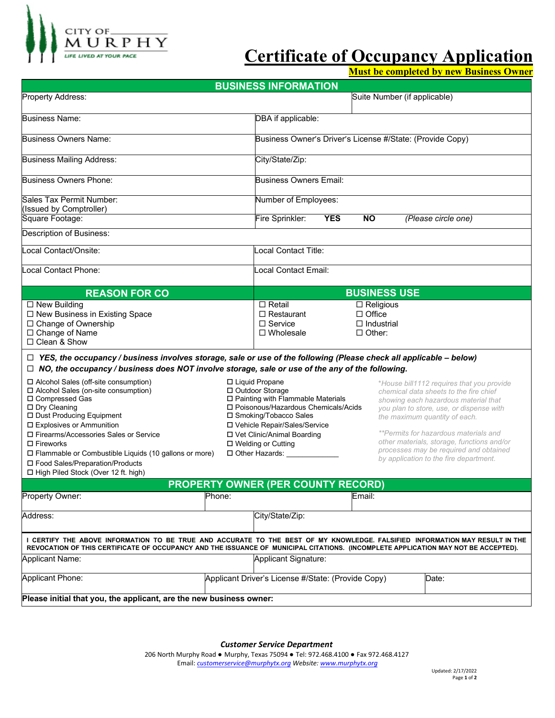

# **Certificate of Occupancy Application**

**Must be completed by new Business Owner**

| <b>BUSINESS INFORMATION</b>                                                                                                                                                                                                                                        |                               |                                                                                                                                                                                    |            |                                                                         |                                                                                                                                                                         |                                                                                                                                                                                                          |  |  |  |  |
|--------------------------------------------------------------------------------------------------------------------------------------------------------------------------------------------------------------------------------------------------------------------|-------------------------------|------------------------------------------------------------------------------------------------------------------------------------------------------------------------------------|------------|-------------------------------------------------------------------------|-------------------------------------------------------------------------------------------------------------------------------------------------------------------------|----------------------------------------------------------------------------------------------------------------------------------------------------------------------------------------------------------|--|--|--|--|
| Property Address:                                                                                                                                                                                                                                                  |                               |                                                                                                                                                                                    |            | Suite Number (if applicable)                                            |                                                                                                                                                                         |                                                                                                                                                                                                          |  |  |  |  |
| <b>Business Name:</b>                                                                                                                                                                                                                                              |                               | DBA if applicable:                                                                                                                                                                 |            |                                                                         |                                                                                                                                                                         |                                                                                                                                                                                                          |  |  |  |  |
| <b>Business Owners Name:</b>                                                                                                                                                                                                                                       |                               | Business Owner's Driver's License #/State: (Provide Copy)                                                                                                                          |            |                                                                         |                                                                                                                                                                         |                                                                                                                                                                                                          |  |  |  |  |
| <b>Business Mailing Address:</b>                                                                                                                                                                                                                                   |                               | City/State/Zip:                                                                                                                                                                    |            |                                                                         |                                                                                                                                                                         |                                                                                                                                                                                                          |  |  |  |  |
| <b>Business Owners Phone:</b>                                                                                                                                                                                                                                      | <b>Business Owners Email:</b> |                                                                                                                                                                                    |            |                                                                         |                                                                                                                                                                         |                                                                                                                                                                                                          |  |  |  |  |
| Sales Tax Permit Number:<br>(Issued by Comptroller)                                                                                                                                                                                                                | Number of Employees:          |                                                                                                                                                                                    |            |                                                                         |                                                                                                                                                                         |                                                                                                                                                                                                          |  |  |  |  |
| Square Footage:                                                                                                                                                                                                                                                    |                               | Fire Sprinkler:                                                                                                                                                                    | <b>YES</b> | <b>NO</b>                                                               |                                                                                                                                                                         | (Please circle one)                                                                                                                                                                                      |  |  |  |  |
| Description of Business:                                                                                                                                                                                                                                           |                               |                                                                                                                                                                                    |            |                                                                         |                                                                                                                                                                         |                                                                                                                                                                                                          |  |  |  |  |
| Local Contact/Onsite:                                                                                                                                                                                                                                              | Local Contact Title:          |                                                                                                                                                                                    |            |                                                                         |                                                                                                                                                                         |                                                                                                                                                                                                          |  |  |  |  |
| ocal Contact Phone:                                                                                                                                                                                                                                                | Local Contact Email:          |                                                                                                                                                                                    |            |                                                                         |                                                                                                                                                                         |                                                                                                                                                                                                          |  |  |  |  |
| <b>REASON FOR CO</b>                                                                                                                                                                                                                                               |                               |                                                                                                                                                                                    |            | <b>BUSINESS USE</b>                                                     |                                                                                                                                                                         |                                                                                                                                                                                                          |  |  |  |  |
| $\Box$ New Building<br>□ New Business in Existing Space<br>□ Change of Ownership<br>□ Change of Name<br>□ Clean & Show                                                                                                                                             |                               | $\Box$ Retail<br>$\Box$ Restaurant<br>$\Box$ Service<br>$\Box$ Wholesale                                                                                                           |            | $\Box$ Religious<br>$\Box$ Office<br>$\Box$ Industrial<br>$\Box$ Other: |                                                                                                                                                                         |                                                                                                                                                                                                          |  |  |  |  |
| $\Box$ YES, the occupancy / business involves storage, sale or use of the following (Please check all applicable – below)<br>$\Box$ NO, the occupancy / business does NOT involve storage, sale or use of the any of the following.                                |                               |                                                                                                                                                                                    |            |                                                                         |                                                                                                                                                                         |                                                                                                                                                                                                          |  |  |  |  |
| □ Alcohol Sales (off-site consumption)<br>$\Box$ Alcohol Sales (on-site consumption)<br>□ Compressed Gas<br>□ Dry Cleaning<br>□ Dust Producing Equipment<br>□ Explosives or Ammunition                                                                             |                               | □ Liquid Propane<br>□ Outdoor Storage<br>□ Painting with Flammable Materials<br>□ Poisonous/Hazardous Chemicals/Acids<br>□ Smoking/Tobacco Sales<br>□ Vehicle Repair/Sales/Service |            |                                                                         |                                                                                                                                                                         | *House bill1112 requires that you provide<br>chemical data sheets to the fire chief<br>showing each hazardous material that<br>you plan to store, use, or dispense with<br>the maximum quantity of each. |  |  |  |  |
| □ Firearms/Accessories Sales or Service<br>$\Box$ Fireworks<br>$\Box$ Flammable or Combustible Liquids (10 gallons or more)<br>□ Food Sales/Preparation/Products<br>□ High Piled Stock (Over 12 ft. high)                                                          |                               | □ Vet Clinic/Animal Boarding<br>□ Welding or Cutting<br>□ Other Hazards:                                                                                                           |            |                                                                         | **Permits for hazardous materials and<br>other materials, storage, functions and/or<br>processes may be required and obtained<br>by application to the fire department. |                                                                                                                                                                                                          |  |  |  |  |
| <b>PROPERTY OWNER (PER COUNTY RECORD)</b>                                                                                                                                                                                                                          |                               |                                                                                                                                                                                    |            |                                                                         |                                                                                                                                                                         |                                                                                                                                                                                                          |  |  |  |  |
| Property Owner:                                                                                                                                                                                                                                                    | Phone:                        |                                                                                                                                                                                    |            | Email:                                                                  |                                                                                                                                                                         |                                                                                                                                                                                                          |  |  |  |  |
| Address:                                                                                                                                                                                                                                                           |                               | City/State/Zip:                                                                                                                                                                    |            |                                                                         |                                                                                                                                                                         |                                                                                                                                                                                                          |  |  |  |  |
| I CERTIFY THE ABOVE INFORMATION TO BE TRUE AND ACCURATE TO THE BEST OF MY KNOWLEDGE. FALSIFIED INFORMATION MAY RESULT IN THE<br>REVOCATION OF THIS CERTIFICATE OF OCCUPANCY AND THE ISSUANCE OF MUNICIPAL CITATIONS. (INCOMPLETE APPLICATION MAY NOT BE ACCEPTED). |                               |                                                                                                                                                                                    |            |                                                                         |                                                                                                                                                                         |                                                                                                                                                                                                          |  |  |  |  |
| Applicant Name:                                                                                                                                                                                                                                                    |                               | Applicant Signature:                                                                                                                                                               |            |                                                                         |                                                                                                                                                                         |                                                                                                                                                                                                          |  |  |  |  |
| <b>Applicant Phone:</b>                                                                                                                                                                                                                                            |                               | Applicant Driver's License #/State: (Provide Copy)<br>Date:                                                                                                                        |            |                                                                         |                                                                                                                                                                         |                                                                                                                                                                                                          |  |  |  |  |
| Please initial that you, the applicant, are the new business owner:                                                                                                                                                                                                |                               |                                                                                                                                                                                    |            |                                                                         |                                                                                                                                                                         |                                                                                                                                                                                                          |  |  |  |  |

*Customer Service Department* 

206 North Murphy Road ● Murphy, Texas 75094 ● Tel: 972.468.4100 ● Fax 972.468.4127 Email: *customerservice@murphytx.org Website[: www.murphytx.org](http://www.murphytx.org/)*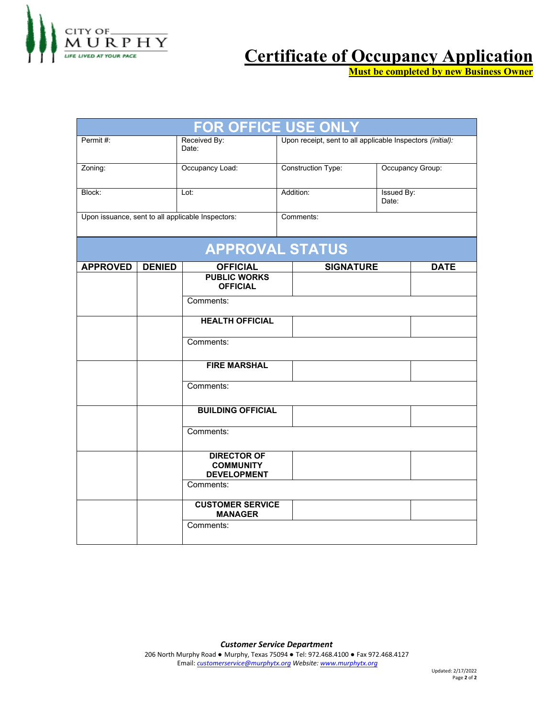

## **Certificate of Occupancy Application**

**Must be completed by new Business Owner**

| OR OFFICE USE ONLY                                |               |                                                              |           |                                                            |                            |  |  |  |  |  |
|---------------------------------------------------|---------------|--------------------------------------------------------------|-----------|------------------------------------------------------------|----------------------------|--|--|--|--|--|
| Permit#:                                          |               | Received By:<br>Date:                                        |           | Upon receipt, sent to all applicable Inspectors (initial): |                            |  |  |  |  |  |
| Zoning:                                           |               | Occupancy Load:                                              |           | Construction Type:                                         | Occupancy Group:           |  |  |  |  |  |
| Block:                                            |               | Lot:                                                         |           | Addition:                                                  | <b>Issued By:</b><br>Date: |  |  |  |  |  |
| Upon issuance, sent to all applicable Inspectors: |               |                                                              | Comments: |                                                            |                            |  |  |  |  |  |
|                                                   |               | <b>APPROVAL STATUS</b>                                       |           |                                                            |                            |  |  |  |  |  |
| <b>APPROVED</b>                                   | <b>DENIED</b> | <b>OFFICIAL</b>                                              |           | <b>SIGNATURE</b>                                           | <b>DATE</b>                |  |  |  |  |  |
|                                                   |               | <b>PUBLIC WORKS</b><br><b>OFFICIAL</b>                       |           |                                                            |                            |  |  |  |  |  |
|                                                   |               | Comments:                                                    |           |                                                            |                            |  |  |  |  |  |
|                                                   |               | <b>HEALTH OFFICIAL</b>                                       |           |                                                            |                            |  |  |  |  |  |
|                                                   |               | Comments:                                                    |           |                                                            |                            |  |  |  |  |  |
|                                                   |               | <b>FIRE MARSHAL</b>                                          |           |                                                            |                            |  |  |  |  |  |
|                                                   |               | Comments:                                                    |           |                                                            |                            |  |  |  |  |  |
|                                                   |               | <b>BUILDING OFFICIAL</b>                                     |           |                                                            |                            |  |  |  |  |  |
|                                                   |               | Comments:                                                    |           |                                                            |                            |  |  |  |  |  |
|                                                   |               | <b>DIRECTOR OF</b><br><b>COMMUNITY</b><br><b>DEVELOPMENT</b> |           |                                                            |                            |  |  |  |  |  |
|                                                   |               | Comments:                                                    |           |                                                            |                            |  |  |  |  |  |
|                                                   |               | <b>CUSTOMER SERVICE</b><br><b>MANAGER</b>                    |           |                                                            |                            |  |  |  |  |  |
|                                                   |               | Comments:                                                    |           |                                                            |                            |  |  |  |  |  |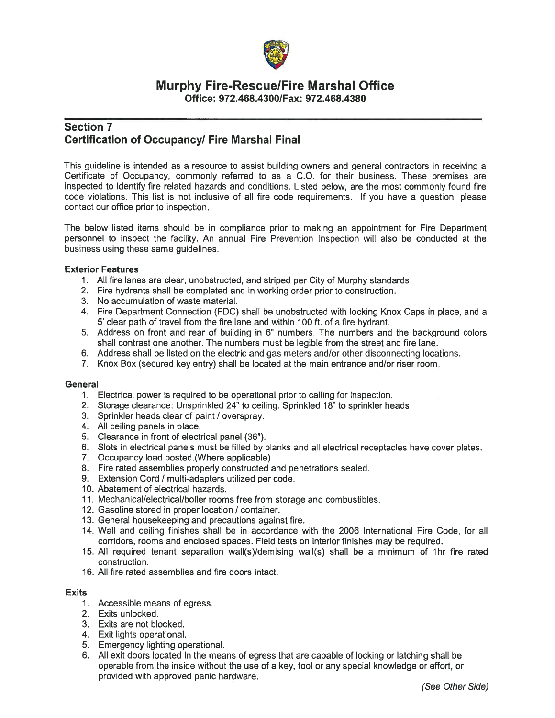

## **Murphy Fire-Rescue/Fire Marshal Office** Office: 972.468.4300/Fax: 972.468.4380

## **Section 7 Certification of Occupancy/ Fire Marshal Final**

This guideline is intended as a resource to assist building owners and general contractors in receiving a Certificate of Occupancy, commonly referred to as a C.O. for their business. These premises are inspected to identify fire related hazards and conditions. Listed below, are the most commonly found fire code violations. This list is not inclusive of all fire code requirements. If you have a question, please contact our office prior to inspection.

The below listed items should be in compliance prior to making an appointment for Fire Department personnel to inspect the facility. An annual Fire Prevention Inspection will also be conducted at the business using these same guidelines.

#### **Exterior Features**

- 1. All fire lanes are clear, unobstructed, and striped per City of Murphy standards.
- 2. Fire hydrants shall be completed and in working order prior to construction.
- 3. No accumulation of waste material.
- 4. Fire Department Connection (FDC) shall be unobstructed with locking Knox Caps in place, and a 5' clear path of travel from the fire lane and within 100 ft. of a fire hydrant.
- 5. Address on front and rear of building in 6" numbers. The numbers and the background colors shall contrast one another. The numbers must be legible from the street and fire lane.
- 6. Address shall be listed on the electric and gas meters and/or other disconnecting locations.
- 7. Knox Box (secured key entry) shall be located at the main entrance and/or riser room.

#### General

- 1. Electrical power is required to be operational prior to calling for inspection.
- 2. Storage clearance: Unsprinkled 24" to ceiling. Sprinkled 18" to sprinkler heads.
- 3. Sprinkler heads clear of paint / overspray.
- 4. All ceiling panels in place.
- 5. Clearance in front of electrical panel (36").
- 6. Slots in electrical panels must be filled by blanks and all electrical receptacles have cover plates.
- 7. Occupancy load posted. (Where applicable)
- 8. Fire rated assemblies properly constructed and penetrations sealed.
- 9. Extension Cord / multi-adapters utilized per code.
- 10. Abatement of electrical hazards.
- 11. Mechanical/electrical/boiler rooms free from storage and combustibles.
- 12. Gasoline stored in proper location / container.
- 13. General housekeeping and precautions against fire.
- 14. Wall and ceiling finishes shall be in accordance with the 2006 International Fire Code, for all corridors, rooms and enclosed spaces. Field tests on interior finishes may be required.
- 15. All required tenant separation wall(s)/demising wall(s) shall be a minimum of 1hr fire rated construction.
- 16. All fire rated assemblies and fire doors intact.

#### **Exits**

- 1. Accessible means of egress.
- 2. Exits unlocked.
- 3. Exits are not blocked.
- 4. Exit lights operational.
- 5. Emergency lighting operational.
- 6. All exit doors located in the means of egress that are capable of locking or latching shall be operable from the inside without the use of a key, tool or any special knowledge or effort, or provided with approved panic hardware.